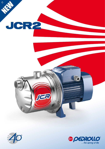

# 石



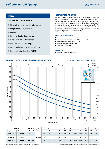

# **NEW**

## **TECHNICAL CHARACTERISTICS**

- $\blacktriangleright$  New self-priming electric water pumps
- $\triangleright$  Original design by Pedrollo
- $\triangleright$  Quieter
- $\blacktriangleright$  Better hydraulic characteristics
- $\blacktriangleright$  Better priming performances
- $\blacktriangleright$  Reduced energy consumption
- $\blacktriangleright$  Pump body in stainless steel AISI 304
- $\blacktriangleright$  Impeller in stainless steel AISI 304

### **INSTALLATION AND USE**

Suitable for use with clean water and liquids that are not chemically aggressive towards the materials from which the pump is made. The self-priming **JCR** pumps are designed to pump water even in cases where air is present. As a result of their reliability and the fact that they are easy to use, they are recommended for use in domestic applications such as the distribution of water in combination with small or medium sized pressure sets, and for the irrigation of gardens and allotments, etc.

### **APPLICATION LIMITS**

- **•** Manometric suction lift up to **9 m** (HS)
- **•** Liquid temperature between **-10 °C** and **+40 °C**
- **•** Ambient temperature up to **+40 °C**
- **•** Max. working pressure **6.5 bar**
- **•** Continuous service **S1**

### **PATENTS**

**•** European Patent n° 1 510 696

# **CHARACTERISTIC CURVES AND PERFORMANCE DATA 50 Hz n= 2900 1/min** HS= 0 m



| <b>MODEL</b>       |                         | <b>POWER</b> |               | $m^3/h$  | 0           | 0.3 | 0.6 | 1.2  | 1.5  | 1.8  | 2.4  | 2.7  | 3.0  | 3.6  | 4.2 |
|--------------------|-------------------------|--------------|---------------|----------|-------------|-----|-----|------|------|------|------|------|------|------|-----|
| Single-phase       | Three-phase             | kW           | <b>HP</b>     | l/min    | $\mathbf 0$ | 5   | 10  | 20   | 25   | 30   | 40   | 45   | 50   | 60   | 70  |
| JCRm <sub>2C</sub> | <b>JCR<sub>2</sub>C</b> | 0.75         |               | H metres | 50          | 47  | 43  | 37   | 34   | 31.5 | 27.5 | 25.5 | 24   | 21   | 19  |
| JCRm 2B            | <b>JCR 2B</b>           | 0.90         | 1.25          |          | 55          | 52  | 48  | 42   | 39   | 36   | 32   | 30   | 28.5 | 25.5 | 23  |
| JCRm <sub>2A</sub> | <b>JCR 2A</b>           | 1.1          | $1.5^{\circ}$ |          | 60          | 56  | 53  | 46.5 | 43.5 | 41   | 36.5 | 34.5 | 32.5 | 29.5 | 27  |

**Q** = Flow rate **H** = Total manometric head **HS** = Suction height Tolerance of characteristic curves in compliance with EN ISO 9906 Grade 3.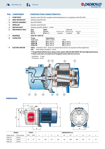

|                | <b>POS. COMPONENT</b>  |                                                                                                                               | <b>CONSTRUCTION CHARACTERISTICS</b>                                 |                       |                                     |                |  |  |  |  |  |  |  |
|----------------|------------------------|-------------------------------------------------------------------------------------------------------------------------------|---------------------------------------------------------------------|-----------------------|-------------------------------------|----------------|--|--|--|--|--|--|--|
| 1              | <b>PUMP BODY</b>       | Stainless steel AISI 304, complete with threaded ports in compliance with ISO 228/1                                           |                                                                     |                       |                                     |                |  |  |  |  |  |  |  |
| $\overline{2}$ | <b>BODY BACKPLATE</b>  | Stainless steel AISI 304                                                                                                      |                                                                     |                       |                                     |                |  |  |  |  |  |  |  |
| 3              | <b>NOZZLE ASSEMBLY</b> | Noryl FE1520PW                                                                                                                |                                                                     |                       |                                     |                |  |  |  |  |  |  |  |
| 4              | <b>IMPELLER</b>        | Stainless steel AISI 304                                                                                                      |                                                                     |                       |                                     |                |  |  |  |  |  |  |  |
| 5              | <b>MOTOR SHAFT</b>     | Stainless steel EN 10088-3 - 1.4104                                                                                           |                                                                     |                       |                                     |                |  |  |  |  |  |  |  |
| 6              | <b>MECHANICAL SEAL</b> | Seal<br>Model                                                                                                                 | <b>Shaft</b><br><b>Diameter</b>                                     | Stationary ring       | <b>Materials</b><br>Rotational ring | Elastomer      |  |  |  |  |  |  |  |
|                |                        | <b>AR-14</b>                                                                                                                  | $\boldsymbol{\emptyset}$ 14 mm                                      | Ceramic               | Graphite                            | <b>NBR</b>     |  |  |  |  |  |  |  |
| 7              | <b>BEARINGS</b>        |                                                                                                                               | 6203 ZZ / 6203 ZZ                                                   |                       |                                     |                |  |  |  |  |  |  |  |
| 8              | <b>CAPACITOR</b>       | Pump<br>Single-phase                                                                                                          | <b>Capacitance</b><br>(230 V or 240 V)                              | (110 V)               |                                     |                |  |  |  |  |  |  |  |
|                |                        | JCRm <sub>2C</sub>                                                                                                            | 20 µF 450 VL                                                        |                       | 60 µF 300 VL                        |                |  |  |  |  |  |  |  |
|                |                        | JCRm 2B                                                                                                                       | 25 µF 450 VL                                                        | 60 µF 300 VL          |                                     |                |  |  |  |  |  |  |  |
|                | <b>ELECTRIC MOTOR</b>  | 60 µF 300 VL<br>JCRm <sub>2A</sub><br>25 µF 450 VL                                                                            |                                                                     |                       |                                     |                |  |  |  |  |  |  |  |
| 9              |                        | JCRm: monofase 230 V - 50 Hz con salvamotore termico incorporato nell'avvolgimento.<br>three-phase 230/400 V - 50 Hz.<br>JCR: |                                                                     |                       |                                     |                |  |  |  |  |  |  |  |
|                |                        | ** Pumps fitted with the three-phase motor option offer IE2 (IEC 60034-30) class high performance.                            |                                                                     |                       |                                     |                |  |  |  |  |  |  |  |
|                |                        |                                                                                                                               | Stator and rotor are made out of magnetic sheet with low iron loss. |                       |                                     |                |  |  |  |  |  |  |  |
|                |                        | - Insulation: F class.                                                                                                        |                                                                     |                       |                                     |                |  |  |  |  |  |  |  |
|                |                        | - Protection: IP X4.                                                                                                          |                                                                     |                       |                                     |                |  |  |  |  |  |  |  |
|                |                        |                                                                                                                               | $\overline{\mathbf{2}}$<br>$\overline{\mathbf{z}}$                  |                       | 8                                   | $\overline{7}$ |  |  |  |  |  |  |  |
|                |                        |                                                                                                                               |                                                                     |                       |                                     |                |  |  |  |  |  |  |  |
|                |                        |                                                                                                                               |                                                                     |                       |                                     |                |  |  |  |  |  |  |  |
|                |                        |                                                                                                                               |                                                                     |                       |                                     |                |  |  |  |  |  |  |  |
|                |                        |                                                                                                                               |                                                                     |                       |                                     |                |  |  |  |  |  |  |  |
|                |                        |                                                                                                                               |                                                                     |                       |                                     |                |  |  |  |  |  |  |  |
|                |                        |                                                                                                                               | Lor                                                                 |                       |                                     |                |  |  |  |  |  |  |  |
|                |                        |                                                                                                                               |                                                                     |                       |                                     |                |  |  |  |  |  |  |  |
|                |                        |                                                                                                                               |                                                                     |                       |                                     |                |  |  |  |  |  |  |  |
|                |                        |                                                                                                                               |                                                                     |                       |                                     |                |  |  |  |  |  |  |  |
|                |                        |                                                                                                                               |                                                                     |                       |                                     |                |  |  |  |  |  |  |  |
|                |                        |                                                                                                                               |                                                                     |                       |                                     |                |  |  |  |  |  |  |  |
|                |                        |                                                                                                                               |                                                                     |                       |                                     |                |  |  |  |  |  |  |  |
|                |                        |                                                                                                                               |                                                                     |                       |                                     |                |  |  |  |  |  |  |  |
|                |                        |                                                                                                                               |                                                                     | 5<br>$\boldsymbol{9}$ |                                     |                |  |  |  |  |  |  |  |
|                | <b>DIMENSIONS</b>      |                                                                                                                               |                                                                     |                       |                                     |                |  |  |  |  |  |  |  |
|                |                        |                                                                                                                               |                                                                     |                       |                                     |                |  |  |  |  |  |  |  |





| <b>MODEL</b> |                    | <b>PORTS</b> |                 | <b>DIMENSIONS mm</b> |     |     |     |    |     |     |     |    |    |  |
|--------------|--------------------|--------------|-----------------|----------------------|-----|-----|-----|----|-----|-----|-----|----|----|--|
| Single-phase | Three-phase        | DN1          | DN <sub>2</sub> | a                    |     |     | h1  | h2 | h3  | n   | n1  | W  |    |  |
| JCRm 2C      | JCR <sub>2C</sub>  | 11           | 11              | 111                  | 393 | 217 | 162 | 46 | 208 | 208 | 142 | 91 | 10 |  |
| JCRm 2B      | <b>JCR2B</b>       |              |                 |                      |     |     |     |    |     |     |     |    |    |  |
| JCRm 2A      | JCR <sub>2</sub> A |              |                 |                      |     |     |     |    |     |     |     |    |    |  |